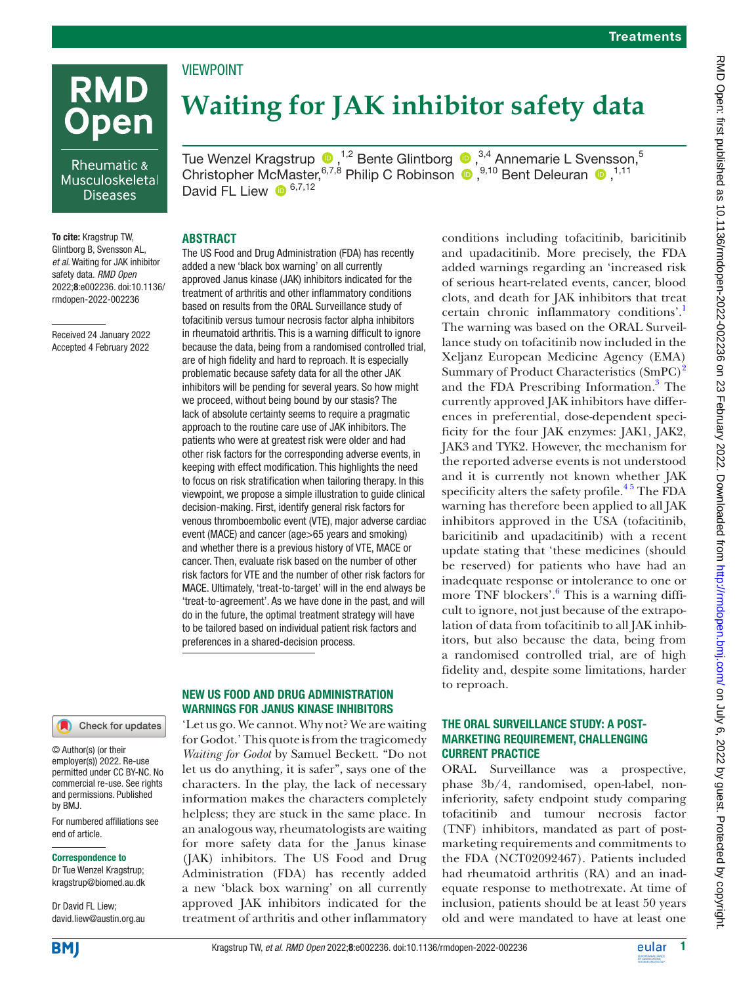# **RMD Open**

## Rheumatic & Musculoskeletal **Diseases**

To cite: Kragstrup TW, Glintborg B, Svensson AL, *et al*. Waiting for JAK inhibitor safety data. *RMD Open* 2022;8:e002236. doi:10.1136/ rmdopen-2022-002236

Received 24 January 2022 Accepted 4 February 2022

## Check for updates

#### © Author(s) (or their employer(s)) 2022. Re-use permitted under CC BY-NC. No commercial re-use. See rights and permissions. Published by BMJ.

For numbered affiliations see end of article.

#### Correspondence to

Dr Tue Wenzel Kragstrup; kragstrup@biomed.au.dk

Dr David FL Liew; david.liew@austin.org.au

# **Waiting for JAK inhibitor safety data**

TueWenzel Kragstrup  $\bullet$  ,<sup>1,2</sup> Bente Glintborg  $\bullet$  ,<sup>3,4</sup> Annemarie L Svensson,<sup>5</sup> ChristopherMcMaster,  $6,7,8$  Philip C Robinson  $\bullet$ ,  $9,10$  Bent Deleuran  $\bullet$ ,  $1,11$ David FL Liew  $\mathbf{D}^{6,7,12}$ 

## **ABSTRACT**

VIEWPOINT

The US Food and Drug Administration (FDA) has recently added a new 'black box warning' on all currently approved Janus kinase (JAK) inhibitors indicated for the treatment of arthritis and other inflammatory conditions based on results from the ORAL Surveillance study of tofacitinib versus tumour necrosis factor alpha inhibitors in rheumatoid arthritis. This is a warning difficult to ignore because the data, being from a randomised controlled trial, are of high fidelity and hard to reproach. It is especially problematic because safety data for all the other JAK inhibitors will be pending for several years. So how might we proceed, without being bound by our stasis? The lack of absolute certainty seems to require a pragmatic approach to the routine care use of JAK inhibitors. The patients who were at greatest risk were older and had other risk factors for the corresponding adverse events, in keeping with effect modification. This highlights the need to focus on risk stratification when tailoring therapy. In this viewpoint, we propose a simple illustration to guide clinical decision-making. First, identify general risk factors for venous thromboembolic event (VTE), major adverse cardiac event (MACE) and cancer (age>65 years and smoking) and whether there is a previous history of VTE, MACE or cancer. Then, evaluate risk based on the number of other risk factors for VTE and the number of other risk factors for MACE. Ultimately, 'treat-to-target' will in the end always be 'treat-to-agreement'. As we have done in the past, and will do in the future, the optimal treatment strategy will have to be tailored based on individual patient risk factors and preferences in a shared-decision process.

## NEW US FOOD AND DRUG ADMINISTRATION WARNINGS FOR JANUS KINASE INHIBITORS

'Let us go. We cannot. Why not? We are waiting for Godot.' This quote is from the tragicomedy *Waiting for Godot* by Samuel Beckett. "Do not let us do anything, it is safer", says one of the characters. In the play, the lack of necessary information makes the characters completely helpless; they are stuck in the same place. In an analogous way, rheumatologists are waiting for more safety data for the Janus kinase (JAK) inhibitors. The US Food and Drug Administration (FDA) has recently added a new 'black box warning' on all currently approved JAK inhibitors indicated for the treatment of arthritis and other inflammatory

conditions including tofacitinib, baricitinib and upadacitinib. More precisely, the FDA added warnings regarding an 'increased risk of serious heart-related events, cancer, blood clots, and death for JAK inhibitors that treat certain chronic inflammatory conditions'.<sup>[1](#page-3-0)</sup> The warning was based on the ORAL Surveillance study on tofacitinib now included in the Xeljanz European Medicine Agency (EMA) Summary of Product Characteristics (SmPC)<sup>[2](#page-3-1)</sup> and the FDA Prescribing Information.<sup>3</sup> The currently approved JAK inhibitors have differences in preferential, dose-dependent specificity for the four JAK enzymes: JAK1, JAK2, JAK3 and TYK2. However, the mechanism for the reported adverse events is not understood and it is currently not known whether JAK specificity alters the safety profile.<sup>45</sup> The FDA warning has therefore been applied to all JAK inhibitors approved in the USA (tofacitinib, baricitinib and upadacitinib) with a recent update stating that 'these medicines (should be reserved) for patients who have had an inadequate response or intolerance to one or more TNF blockers'.<sup>[6](#page-3-4)</sup> This is a warning difficult to ignore, not just because of the extrapolation of data from tofacitinib to all JAK inhibitors, but also because the data, being from a randomised controlled trial, are of high fidelity and, despite some limitations, harder to reproach.

## THE ORAL SURVEILLANCE STUDY: A POST-MARKETING REQUIREMENT, CHALLENGING CURRENT PRACTICE

ORAL Surveillance was a prospective, phase 3b/4, randomised, open-label, noninferiority, safety endpoint study comparing tofacitinib and tumour necrosis factor (TNF) inhibitors, mandated as part of postmarketing requirements and commitments to the FDA (NCT02092467). Patients included had rheumatoid arthritis (RA) and an inadequate response to methotrexate. At time of inclusion, patients should be at least 50 years old and were mandated to have at least one



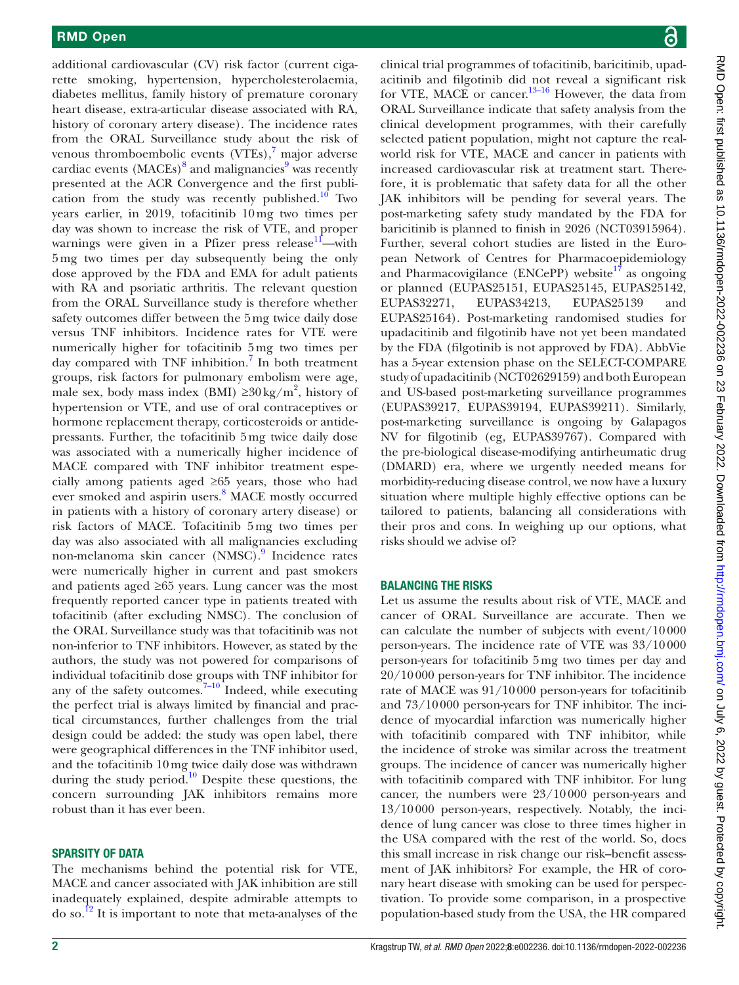additional cardiovascular (CV) risk factor (current cigarette smoking, hypertension, hypercholesterolaemia, diabetes mellitus, family history of premature coronary heart disease, extra-articular disease associated with RA, history of coronary artery disease). The incidence rates from the ORAL Surveillance study about the risk of venous thromboembolic events (VTEs),<sup>[7](#page-3-5)</sup> major adverse cardiac events  $(MACES)^8$  $(MACES)^8$  and malignancies<sup>[9](#page-3-7)</sup> was recently presented at the ACR Convergence and the first publication from the study was recently published. $10$  Two years earlier, in 2019, tofacitinib 10mg two times per day was shown to increase the risk of VTE, and proper warnings were given in a Pfizer press release $11$ —with 5mg two times per day subsequently being the only dose approved by the FDA and EMA for adult patients with RA and psoriatic arthritis. The relevant question from the ORAL Surveillance study is therefore whether safety outcomes differ between the 5mg twice daily dose versus TNF inhibitors. Incidence rates for VTE were numerically higher for tofacitinib 5mg two times per day compared with TNF inhibition.<sup>[7](#page-3-5)</sup> In both treatment groups, risk factors for pulmonary embolism were age, male sex, body mass index (BMI)  $\geq 30 \text{ kg/m}^2$ , history of hypertension or VTE, and use of oral contraceptives or hormone replacement therapy, corticosteroids or antidepressants. Further, the tofacitinib 5mg twice daily dose was associated with a numerically higher incidence of MACE compared with TNF inhibitor treatment especially among patients aged ≥65 years, those who had ever smoked and aspirin users.<sup>[8](#page-3-6)</sup> MACE mostly occurred in patients with a history of coronary artery disease) or risk factors of MACE. Tofacitinib 5mg two times per day was also associated with all malignancies excluding non-melanoma skin cancer (NMSC).<sup>9</sup> Incidence rates were numerically higher in current and past smokers and patients aged ≥65 years. Lung cancer was the most frequently reported cancer type in patients treated with tofacitinib (after excluding NMSC). The conclusion of the ORAL Surveillance study was that tofacitinib was not non-inferior to TNF inhibitors. However, as stated by the authors, the study was not powered for comparisons of individual tofacitinib dose groups with TNF inhibitor for any of the safety outcomes.  $\frac{3}{7-10}$  Indeed, while executing the perfect trial is always limited by financial and practical circumstances, further challenges from the trial design could be added: the study was open label, there were geographical differences in the TNF inhibitor used, and the tofacitinib 10mg twice daily dose was withdrawn during the study period.<sup>10</sup> Despite these questions, the concern surrounding JAK inhibitors remains more robust than it has ever been.

### SPARSITY OF DATA

The mechanisms behind the potential risk for VTE, MACE and cancer associated with JAK inhibition are still inadequately explained, despite admirable attempts to do so.<sup>[12](#page-3-10)</sup> It is important to note that meta-analyses of the

clinical trial programmes of tofacitinib, baricitinib, upadacitinib and filgotinib did not reveal a significant risk for VTE, MACE or cancer.<sup>13–16</sup> However, the data from ORAL Surveillance indicate that safety analysis from the clinical development programmes, with their carefully selected patient population, might not capture the realworld risk for VTE, MACE and cancer in patients with increased cardiovascular risk at treatment start. Therefore, it is problematic that safety data for all the other JAK inhibitors will be pending for several years. The post-marketing safety study mandated by the FDA for baricitinib is planned to finish in 2026 (NCT03915964). Further, several cohort studies are listed in the European Network of Centres for Pharmacoepidemiology and Pharmacovigilance ( $ENCePP$ ) website<sup>17</sup> as ongoing or planned (EUPAS25151, EUPAS25145, EUPAS25142, EUPAS32271, EUPAS34213, EUPAS25139 and EUPAS25164). Post-marketing randomised studies for upadacitinib and filgotinib have not yet been mandated by the FDA (filgotinib is not approved by FDA). AbbVie has a 5-year extension phase on the SELECT-COMPARE study of upadacitinib (NCT02629159) and both European and US-based post-marketing surveillance programmes (EUPAS39217, EUPAS39194, EUPAS39211). Similarly, post-marketing surveillance is ongoing by Galapagos NV for filgotinib (eg, EUPAS39767). Compared with the pre-biological disease-modifying antirheumatic drug (DMARD) era, where we urgently needed means for morbidity-reducing disease control, we now have a luxury situation where multiple highly effective options can be tailored to patients, balancing all considerations with their pros and cons. In weighing up our options, what risks should we advise of?

### BALANCING THE RISKS

Let us assume the results about risk of VTE, MACE and cancer of ORAL Surveillance are accurate. Then we can calculate the number of subjects with event/10000 person-years. The incidence rate of VTE was 33/10000 person-years for tofacitinib 5mg two times per day and 20/10000 person-years for TNF inhibitor. The incidence rate of MACE was 91/10000 person-years for tofacitinib and 73/10000 person-years for TNF inhibitor. The incidence of myocardial infarction was numerically higher with tofacitinib compared with TNF inhibitor, while the incidence of stroke was similar across the treatment groups. The incidence of cancer was numerically higher with tofacitinib compared with TNF inhibitor. For lung cancer, the numbers were 23/10000 person-years and 13/10000 person-years, respectively. Notably, the incidence of lung cancer was close to three times higher in the USA compared with the rest of the world. So, does this small increase in risk change our risk–benefit assessment of JAK inhibitors? For example, the HR of coronary heart disease with smoking can be used for perspectivation. To provide some comparison, in a prospective population-based study from the USA, the HR compared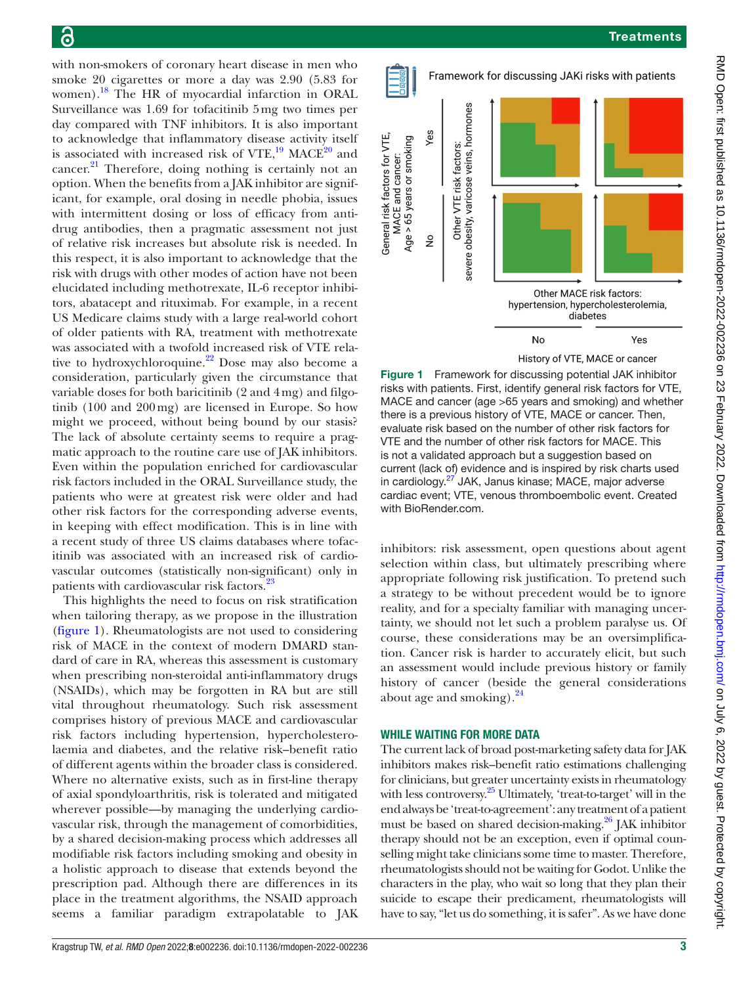with non-smokers of coronary heart disease in men who smoke 20 cigarettes or more a day was 2.90 (5.83 for women).[18](#page-3-13) The HR of myocardial infarction in ORAL Surveillance was 1.69 for tofacitinib 5mg two times per day compared with TNF inhibitors. It is also important to acknowledge that inflammatory disease activity itself is associated with increased risk of VTE,<sup>19</sup> MACE<sup>20</sup> and cancer.<sup>21</sup> Therefore, doing nothing is certainly not an option. When the benefits from a JAK inhibitor are significant, for example, oral dosing in needle phobia, issues with intermittent dosing or loss of efficacy from antidrug antibodies, then a pragmatic assessment not just of relative risk increases but absolute risk is needed. In this respect, it is also important to acknowledge that the risk with drugs with other modes of action have not been elucidated including methotrexate, IL-6 receptor inhibitors, abatacept and rituximab. For example, in a recent US Medicare claims study with a large real-world cohort of older patients with RA, treatment with methotrexate was associated with a twofold increased risk of VTE relative to hydroxychloroquine. $2^2$  Dose may also become a consideration, particularly given the circumstance that variable doses for both baricitinib (2 and 4mg) and filgotinib (100 and 200mg) are licensed in Europe. So how might we proceed, without being bound by our stasis? The lack of absolute certainty seems to require a pragmatic approach to the routine care use of JAK inhibitors. Even within the population enriched for cardiovascular risk factors included in the ORAL Surveillance study, the patients who were at greatest risk were older and had other risk factors for the corresponding adverse events, in keeping with effect modification. This is in line with a recent study of three US claims databases where tofacitinib was associated with an increased risk of cardiovascular outcomes (statistically non-significant) only in patients with cardiovascular risk factors.<sup>[23](#page-3-18)</sup>

This highlights the need to focus on risk stratification when tailoring therapy, as we propose in the illustration [\(figure](#page-2-0) 1). Rheumatologists are not used to considering risk of MACE in the context of modern DMARD standard of care in RA, whereas this assessment is customary when prescribing non-steroidal anti-inflammatory drugs (NSAIDs), which may be forgotten in RA but are still vital throughout rheumatology. Such risk assessment comprises history of previous MACE and cardiovascular risk factors including hypertension, hypercholesterolaemia and diabetes, and the relative risk–benefit ratio of different agents within the broader class is considered. Where no alternative exists, such as in first-line therapy of axial spondyloarthritis, risk is tolerated and mitigated wherever possible—by managing the underlying cardiovascular risk, through the management of comorbidities, by a shared decision-making process which addresses all modifiable risk factors including smoking and obesity in a holistic approach to disease that extends beyond the prescription pad. Although there are differences in its place in the treatment algorithms, the NSAID approach seems a familiar paradigm extrapolatable to JAK



<span id="page-2-0"></span>Figure 1 Framework for discussing potential JAK inhibitor risks with patients. First, identify general risk factors for VTE, MACE and cancer (age >65 years and smoking) and whether there is a previous history of VTE, MACE or cancer. Then, evaluate risk based on the number of other risk factors for VTE and the number of other risk factors for MACE. This is not a validated approach but a suggestion based on current (lack of) evidence and is inspired by risk charts used in cardiology.<sup>27</sup> JAK, Janus kinase; MACE, major adverse cardiac event; VTE, venous thromboembolic event. Created with BioRender.com.

inhibitors: risk assessment, open questions about agent selection within class, but ultimately prescribing where appropriate following risk justification. To pretend such a strategy to be without precedent would be to ignore reality, and for a specialty familiar with managing uncertainty, we should not let such a problem paralyse us. Of course, these considerations may be an oversimplification. Cancer risk is harder to accurately elicit, but such an assessment would include previous history or family history of cancer (beside the general considerations about age and smoking). $24$ 

### WHILE WAITING FOR MORE DATA

The current lack of broad post-marketing safety data for JAK inhibitors makes risk–benefit ratio estimations challenging for clinicians, but greater uncertainty exists in rheumatology with less controversy.<sup>[25](#page-4-1)</sup> Ultimately, 'treat-to-target' will in the end always be 'treat-to-agreement': any treatment of a patient must be based on shared decision-making.<sup>26</sup> JAK inhibitor therapy should not be an exception, even if optimal counselling might take clinicians some time to master. Therefore, rheumatologists should not be waiting for Godot. Unlike the characters in the play, who wait so long that they plan their suicide to escape their predicament, rheumatologists will have to say, "let us do something, it is safer". As we have done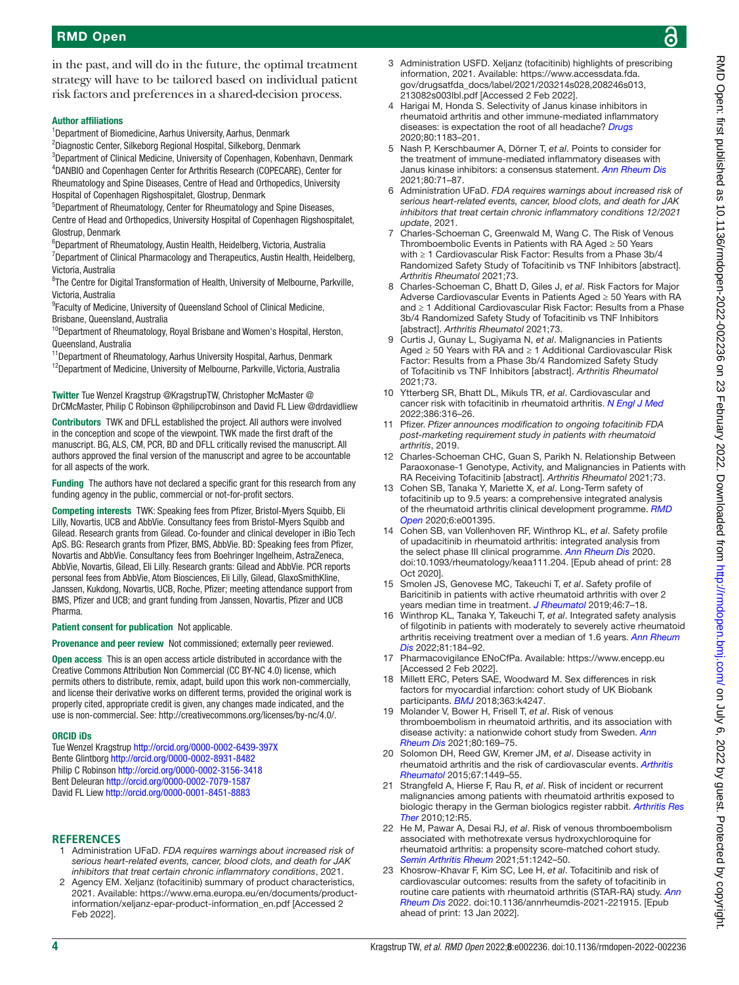in the past, and will do in the future, the optimal treatment strategy will have to be tailored based on individual patient risk factors and preferences in a shared-decision process.

#### Author affiliations

<sup>1</sup>Department of Biomedicine, Aarhus University, Aarhus, Denmark

<sup>2</sup>Diagnostic Center, Silkeborg Regional Hospital, Silkeborg, Denmark

<sup>3</sup>Department of Clinical Medicine, University of Copenhagen, Kobenhavn, Denmark 4 DANBIO and Copenhagen Center for Arthritis Research (COPECARE), Center for Rheumatology and Spine Diseases, Centre of Head and Orthopedics, University Hospital of Copenhagen Rigshospitalet, Glostrup, Denmark

5 Department of Rheumatology, Center for Rheumatology and Spine Diseases, Centre of Head and Orthopedics, University Hospital of Copenhagen Rigshospitalet, Glostrup, Denmark

6 Department of Rheumatology, Austin Health, Heidelberg, Victoria, Australia

<sup>7</sup>Department of Clinical Pharmacology and Therapeutics, Austin Health, Heidelberg, Victoria, Australia

<sup>8</sup>The Centre for Digital Transformation of Health, University of Melbourne, Parkville, Victoria, Australia

<sup>9</sup> Faculty of Medicine, University of Queensland School of Clinical Medicine, Brisbane, Queensland, Australia

<sup>10</sup>Department of Rheumatology, Royal Brisbane and Women's Hospital, Herston, Queensland, Australia

<sup>11</sup>Department of Rheumatology, Aarhus University Hospital, Aarhus, Denmark

<sup>12</sup>Department of Medicine, University of Melbourne, Parkville, Victoria, Australia

Twitter Tue Wenzel Kragstrup [@KragstrupTW,](https://twitter.com/KragstrupTW) Christopher McMaster [@](https://twitter.com/DrCMcMaster) [DrCMcMaster,](https://twitter.com/DrCMcMaster) Philip C Robinson [@philipcrobinson](https://twitter.com/philipcrobinson) and David FL Liew [@drdavidliew](https://twitter.com/drdavidliew)

Contributors TWK and DFLL established the project. All authors were involved in the conception and scope of the viewpoint. TWK made the first draft of the manuscript. BG, ALS, CM, PCR, BD and DFLL critically revised the manuscript. All authors approved the final version of the manuscript and agree to be accountable for all aspects of the work.

Funding The authors have not declared a specific grant for this research from any funding agency in the public, commercial or not-for-profit sectors.

Competing interests TWK: Speaking fees from Pfizer, Bristol-Myers Squibb, Eli Lilly, Novartis, UCB and AbbVie. Consultancy fees from Bristol-Myers Squibb and Gilead. Research grants from Gilead. Co-founder and clinical developer in iBio Tech ApS. BG: Research grants from Pfizer, BMS, AbbVie. BD: Speaking fees from Pfizer, Novartis and AbbVie. Consultancy fees from Boehringer Ingelheim, AstraZeneca, AbbVie, Novartis, Gilead, Eli Lilly. Research grants: Gilead and AbbVie. PCR reports personal fees from AbbVie, Atom Biosciences, Eli Lilly, Gilead, GlaxoSmithKline, Janssen, Kukdong, Novartis, UCB, Roche, Pfizer; meeting attendance support from BMS, Pfizer and UCB; and grant funding from Janssen, Novartis, Pfizer and UCB Pharma.

Patient consent for publication Not applicable.

Provenance and peer review Not commissioned; externally peer reviewed.

Open access This is an open access article distributed in accordance with the Creative Commons Attribution Non Commercial (CC BY-NC 4.0) license, which permits others to distribute, remix, adapt, build upon this work non-commercially, and license their derivative works on different terms, provided the original work is properly cited, appropriate credit is given, any changes made indicated, and the use is non-commercial. See:<http://creativecommons.org/licenses/by-nc/4.0/>.

#### ORCID iDs

Tue Wenzel Kragstrup <http://orcid.org/0000-0002-6439-397X> Bente Glintborg <http://orcid.org/0000-0002-8931-8482> Philip C Robinson<http://orcid.org/0000-0002-3156-3418> Bent Deleuran <http://orcid.org/0000-0002-7079-1587> David FL Liew<http://orcid.org/0000-0001-8451-8883>

#### **REFERENCES**

- <span id="page-3-0"></span>1 Administration UFaD. *FDA requires warnings about increased risk of serious heart-related events, cancer, blood clots, and death for JAK inhibitors that treat certain chronic inflammatory conditions*, 2021.
- <span id="page-3-1"></span>2 Agency EM. Xeljanz (tofacitinib) summary of product characteristics, 2021. Available: [https://www.ema.europa.eu/en/documents/product](https://www.ema.europa.eu/en/documents/product-information/xeljanz-epar-product-information_en.pdf)[information/xeljanz-epar-product-information\\_en.pdf](https://www.ema.europa.eu/en/documents/product-information/xeljanz-epar-product-information_en.pdf) [Accessed 2 Feb 2022].
- <span id="page-3-2"></span>3 Administration USFD. Xeljanz (tofacitinib) highlights of prescribing information, 2021. Available: [https://www.accessdata.fda.](https://www.accessdata.fda.gov/drugsatfda_docs/label/2021/203214s028,208246s013,213082s003lbl.pdf) [gov/drugsatfda\\_docs/label/2021/203214s028,208246s013,](https://www.accessdata.fda.gov/drugsatfda_docs/label/2021/203214s028,208246s013,213082s003lbl.pdf) [213082s003lbl.pdf](https://www.accessdata.fda.gov/drugsatfda_docs/label/2021/203214s028,208246s013,213082s003lbl.pdf) [Accessed 2 Feb 2022].
- <span id="page-3-3"></span>4 Harigai M, Honda S. Selectivity of Janus kinase inhibitors in rheumatoid arthritis and other immune-mediated inflammatory diseases: is expectation the root of all headache? *[Drugs](http://dx.doi.org/10.1007/s40265-020-01349-1)* 2020;80:1183–201.
- 5 Nash P, Kerschbaumer A, Dörner T, *et al*. Points to consider for the treatment of immune-mediated inflammatory diseases with Janus kinase inhibitors: a consensus statement. *[Ann Rheum Dis](http://dx.doi.org/10.1136/annrheumdis-2020-218398)* 2021;80:71–87.
- <span id="page-3-4"></span>6 Administration UFaD. *FDA requires warnings about increased risk of serious heart-related events, cancer, blood clots, and death for JAK inhibitors that treat certain chronic inflammatory conditions 12/2021 update*, 2021.
- <span id="page-3-5"></span>7 Charles-Schoeman C, Greenwald M, Wang C. The Risk of Venous Thromboembolic Events in Patients with RA Aged ≥ 50 Years with ≥ 1 Cardiovascular Risk Factor: Results from a Phase 3b/4 Randomized Safety Study of Tofacitinib vs TNF Inhibitors [abstract]. *Arthritis Rheumatol* 2021;73.
- <span id="page-3-6"></span>8 Charles-Schoeman C, Bhatt D, Giles J, *et al*. Risk Factors for Major Adverse Cardiovascular Events in Patients Aged ≥ 50 Years with RA and ≥ 1 Additional Cardiovascular Risk Factor: Results from a Phase 3b/4 Randomized Safety Study of Tofacitinib vs TNF Inhibitors [abstract]. *Arthritis Rheumatol* 2021;73.
- <span id="page-3-7"></span>9 Curtis J, Gunay L, Sugiyama N, *et al*. Malignancies in Patients Aged ≥ 50 Years with RA and ≥ 1 Additional Cardiovascular Risk Factor: Results from a Phase 3b/4 Randomized Safety Study of Tofacitinib vs TNF Inhibitors [abstract]. *Arthritis Rheumatol*  $2021:73$
- <span id="page-3-8"></span>10 Ytterberg SR, Bhatt DL, Mikuls TR, *et al*. Cardiovascular and cancer risk with tofacitinib in rheumatoid arthritis. *[N Engl J Med](http://dx.doi.org/10.1056/NEJMoa2109927)* 2022;386:316–26.
- <span id="page-3-9"></span>11 Pfizer. *Pfizer announces modification to ongoing tofacitinib FDA post-marketing requirement study in patients with rheumatoid arthritis*, 2019.
- <span id="page-3-10"></span>12 Charles-Schoeman CHC, Guan S, Parikh N. Relationship Between Paraoxonase-1 Genotype, Activity, and Malignancies in Patients with RA Receiving Tofacitinib [abstract]. *Arthritis Rheumatol* 2021;73.
- <span id="page-3-11"></span>13 Cohen SB, Tanaka Y, Mariette X, *et al*. Long-Term safety of tofacitinib up to 9.5 years: a comprehensive integrated analysis of the rheumatoid arthritis clinical development programme. *[RMD](http://dx.doi.org/10.1136/rmdopen-2020-001395)  [Open](http://dx.doi.org/10.1136/rmdopen-2020-001395)* 2020;6:e001395.
- 14 Cohen SB, van Vollenhoven RF, Winthrop KL, *et al*. Safety profile of upadacitinib in rheumatoid arthritis: integrated analysis from the select phase III clinical programme. *[Ann Rheum Dis](http://dx.doi.org/10.1093/rheumatology/keaa111.204)* 2020. doi:10.1093/rheumatology/keaa111.204. [Epub ahead of print: 28 Oct 2020].
- 15 Smolen JS, Genovese MC, Takeuchi T, *et al*. Safety profile of Baricitinib in patients with active rheumatoid arthritis with over 2 years median time in treatment. *[J Rheumatol](http://dx.doi.org/10.3899/jrheum.171361)* 2019;46:7–18.
- 16 Winthrop KL, Tanaka Y, Takeuchi T, *et al*. Integrated safety analysis of filgotinib in patients with moderately to severely active rheumatoid arthritis receiving treatment over a median of 1.6 years. *[Ann Rheum](http://dx.doi.org/10.1136/annrheumdis-2021-221051)  [Dis](http://dx.doi.org/10.1136/annrheumdis-2021-221051)* 2022;81:184–92.
- <span id="page-3-12"></span>17 Pharmacovigilance ENoCfPa. Available: <https://www.encepp.eu> [Accessed 2 Feb 2022].
- <span id="page-3-13"></span>18 Millett ERC, Peters SAE, Woodward M. Sex differences in risk factors for myocardial infarction: cohort study of UK Biobank participants. *[BMJ](http://dx.doi.org/10.1136/bmj.k4247)* 2018;363:k4247.
- <span id="page-3-14"></span>19 Molander V, Bower H, Frisell T, *et al*. Risk of venous thromboembolism in rheumatoid arthritis, and its association with disease activity: a nationwide cohort study from Sweden. *[Ann](http://dx.doi.org/10.1136/annrheumdis-2020-218419)  [Rheum Dis](http://dx.doi.org/10.1136/annrheumdis-2020-218419)* 2021;80:169–75.
- <span id="page-3-15"></span>20 Solomon DH, Reed GW, Kremer JM, *et al*. Disease activity in rheumatoid arthritis and the risk of cardiovascular events. *[Arthritis](http://dx.doi.org/10.1002/art.39098)  [Rheumatol](http://dx.doi.org/10.1002/art.39098)* 2015;67:1449–55.
- <span id="page-3-16"></span>21 Strangfeld A, Hierse F, Rau R, *et al*. Risk of incident or recurrent malignancies among patients with rheumatoid arthritis exposed to biologic therapy in the German biologics register rabbit. *[Arthritis Res](http://dx.doi.org/10.1186/ar2904)  [Ther](http://dx.doi.org/10.1186/ar2904)* 2010;12:R5.
- <span id="page-3-17"></span>22 He M, Pawar A, Desai RJ, *et al*. Risk of venous thromboembolism associated with methotrexate versus hydroxychloroquine for rheumatoid arthritis: a propensity score-matched cohort study. *[Semin Arthritis Rheum](http://dx.doi.org/10.1016/j.semarthrit.2021.10.001)* 2021;51:1242–50.
- <span id="page-3-18"></span>23 Khosrow-Khavar F, Kim SC, Lee H, *et al*. Tofacitinib and risk of cardiovascular outcomes: results from the safety of tofacitinib in routine care patients with rheumatoid arthritis (STAR-RA) study. *[Ann](http://dx.doi.org/10.1136/annrheumdis-2021-221915)  [Rheum Dis](http://dx.doi.org/10.1136/annrheumdis-2021-221915)* 2022. doi:10.1136/annrheumdis-2021-221915. [Epub ahead of print: 13 Jan 2022].